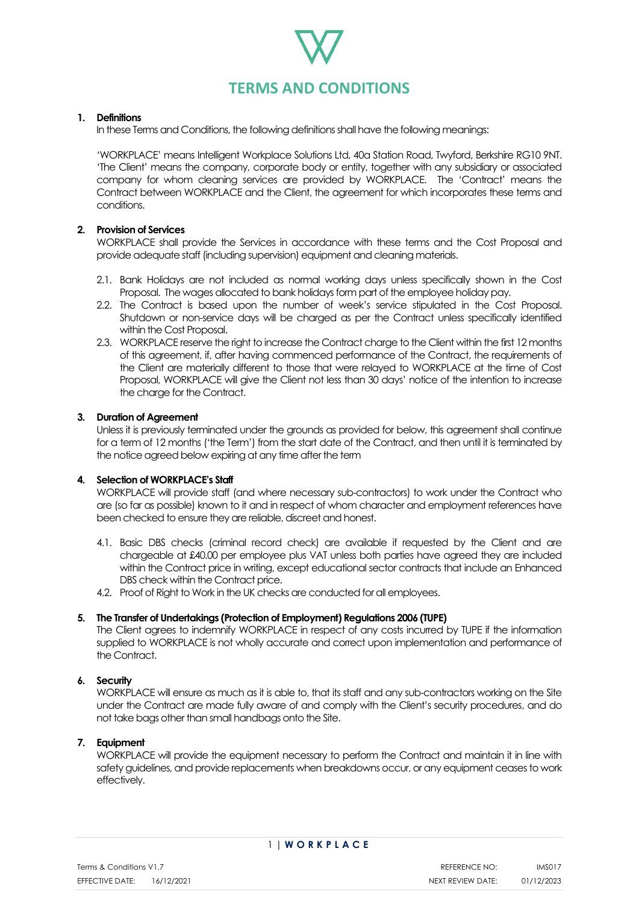

### **1. Definitions**

In these Terms and Conditions, the following definitions shall have the following meanings:

'WORKPLACE' means Intelligent Workplace Solutions Ltd, 40a Station Road, Twyford, Berkshire RG10 9NT. 'The Client' means the company, corporate body or entity, together with any subsidiary or associated company for whom cleaning services are provided by WORKPLACE. The 'Contract' means the Contract between WORKPLACE and the Client, the agreement for which incorporates these terms and conditions.

# **2. Provision of Services**

WORKPLACE shall provide the Services in accordance with these terms and the Cost Proposal and provide adequate staff (including supervision) equipment and cleaning materials.

- 2.1. Bank Holidays are not included as normal working days unless specifically shown in the Cost Proposal. The wages allocated to bank holidays form part of the employee holiday pay.
- 2.2. The Contract is based upon the number of week's service stipulated in the Cost Proposal. Shutdown or non-service days will be charged as per the Contract unless specifically identified within the Cost Proposal.
- 2.3. WORKPLACE reserve the right to increase the Contract charge to the Client within the first 12 months of this agreement, if, after having commenced performance of the Contract, the requirements of the Client are materially different to those that were relayed to WORKPLACE at the time of Cost Proposal, WORKPLACE will give the Client not less than 30 days' notice of the intention to increase the charge for the Contract.

# **3. Duration of Agreement**

Unless it is previously terminated under the grounds as provided for below, this agreement shall continue for a term of 12 months ('the Term') from the start date of the Contract, and then until it is terminated by the notice agreed below expiring at any time after the term

#### **4. Selection of WORKPLACE's Staff**

WORKPLACE will provide staff (and where necessary sub-contractors) to work under the Contract who are (so far as possible) known to it and in respect of whom character and employment references have been checked to ensure they are reliable, discreet and honest.

- 4.1. Basic DBS checks (criminal record check) are available if requested by the Client and are chargeable at £40.00 per employee plus VAT unless both parties have agreed they are included within the Contract price in writing, except educational sector contracts that include an Enhanced DBS check within the Contract price.
- 4.2. Proof of Right to Work in the UK checks are conducted for all employees.

#### **5. The Transfer of Undertakings (Protection of Employment) Regulations 2006 (TUPE)**

The Client agrees to indemnify WORKPLACE in respect of any costs incurred by TUPE if the information supplied to WORKPLACE is not wholly accurate and correct upon implementation and performance of the Contract.

#### **6. Security**

WORKPLACE will ensure as much as it is able to, that its staff and any sub-contractors working on the Site under the Contract are made fully aware of and comply with the Client's security procedures, and do not take bags other than small handbags onto the Site.

### **7. Equipment**

WORKPLACE will provide the equipment necessary to perform the Contract and maintain it in line with safety guidelines, and provide replacements when breakdowns occur, or any equipment ceases to work effectively.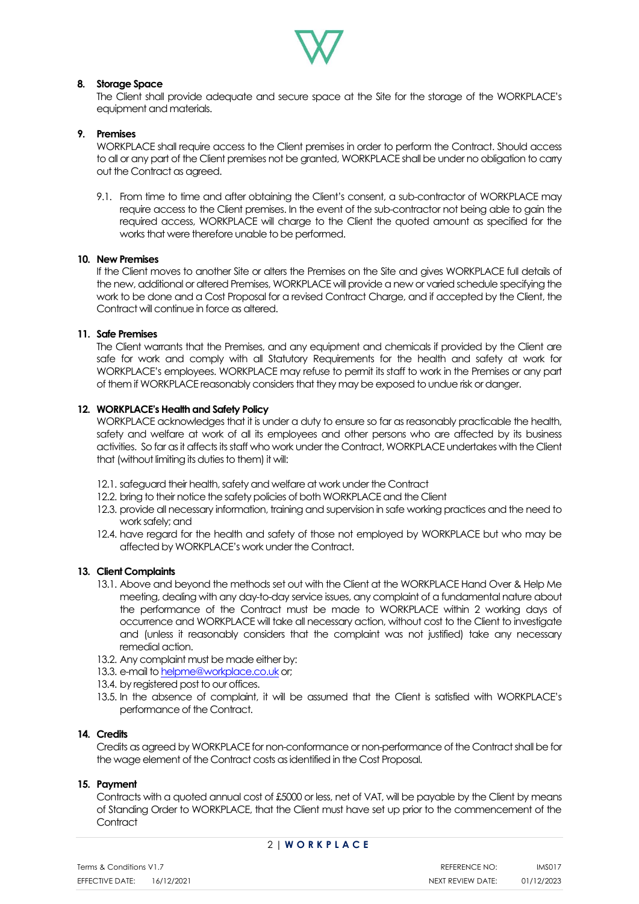

# **8. Storage Space**

The Client shall provide adequate and secure space at the Site for the storage of the WORKPLACE's equipment and materials.

# **9. Premises**

WORKPLACE shall require access to the Client premises in order to perform the Contract. Should access to all or any part of the Client premises not be granted, WORKPLACE shall be under no obligation to carry out the Contract as agreed.

9.1. From time to time and after obtaining the Client's consent, a sub-contractor of WORKPLACE may require access to the Client premises. In the event of the sub-contractor not being able to gain the required access, WORKPLACE will charge to the Client the quoted amount as specified for the works that were therefore unable to be performed.

#### **10. New Premises**

If the Client moves to another Site or alters the Premises on the Site and gives WORKPLACE full details of the new, additional or altered Premises, WORKPLACE will provide a new or varied schedule specifying the work to be done and a Cost Proposal for a revised Contract Charge, and if accepted by the Client, the Contract will continue in force as altered.

#### **11. Safe Premises**

The Client warrants that the Premises, and any equipment and chemicals if provided by the Client are safe for work and comply with all Statutory Requirements for the health and safety at work for WORKPLACE's employees. WORKPLACE may refuse to permit its staff to work in the Premises or any part of them if WORKPLACE reasonably considers that they may be exposed to undue risk or danger.

#### **12. WORKPLACE's Health and Safety Policy**

WORKPLACE acknowledges that it is under a duty to ensure so far as reasonably practicable the health, safety and welfare at work of all its employees and other persons who are affected by its business activities. So far as it affects its staff who work under the Contract, WORKPLACE undertakes with the Client that (without limiting its duties to them) it will:

- 12.1. safeguard their health, safety and welfare at work under the Contract
- 12.2. bring to their notice the safety policies of both WORKPLACE and the Client
- 12.3. provide all necessary information, training and supervision in safe working practices and the need to work safely; and
- 12.4. have regard for the health and safety of those not employed by WORKPLACE but who may be affected by WORKPLACE's work under the Contract.

#### **13. Client Complaints**

- 13.1. Above and beyond the methods set out with the Client at the WORKPLACE Hand Over & Help Me meeting, dealing with any day-to-day service issues, any complaint of a fundamental nature about the performance of the Contract must be made to WORKPLACE within 2 working days of occurrence and WORKPLACE will take all necessary action, without cost to the Client to investigate and (unless it reasonably considers that the complaint was not justified) take any necessary remedial action.
- 13.2. Any complaint must be made either by:
- 13.3. e-mail t[o helpme@workplace.co.uk](mailto:helpme@workplace.co.uk) or;
- 13.4. by registered post to our offices.
- 13.5. In the absence of complaint, it will be assumed that the Client is satisfied with WORKPLACE's performance of the Contract.

### **14. Credits**

Credits as agreed by WORKPLACE for non-conformance or non-performance of the Contract shall be for the wage element of the Contract costs as identified in the Cost Proposal.

#### **15. Payment**

Contracts with a quoted annual cost of £5000 or less, net of VAT, will be payable by the Client by means of Standing Order to WORKPLACE, that the Client must have set up prior to the commencement of the **Contract**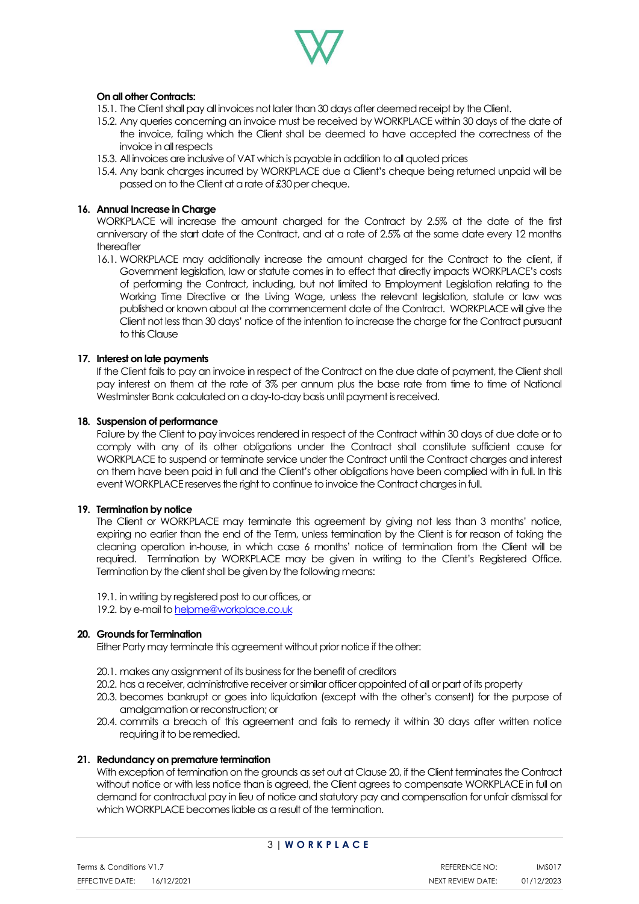

# **On all other Contracts:**

- 15.1. The Client shall pay all invoices not later than 30 days after deemed receipt by the Client.
- 15.2. Any queries concerning an invoice must be received by WORKPLACE within 30 days of the date of the invoice, failing which the Client shall be deemed to have accepted the correctness of the invoice in all respects
- 15.3. All invoices are inclusive of VAT which is payable in addition to all quoted prices
- 15.4. Any bank charges incurred by WORKPLACE due a Client's cheque being returned unpaid will be passed on to the Client at a rate of £30 per cheque.

#### **16. Annual Increase in Charge**

WORKPLACE will increase the amount charged for the Contract by 2.5% at the date of the first anniversary of the start date of the Contract, and at a rate of 2.5% at the same date every 12 months thereafter

16.1. WORKPLACE may additionally increase the amount charged for the Contract to the client, if Government legislation, law or statute comes in to effect that directly impacts WORKPLACE's costs of performing the Contract, including, but not limited to Employment Legislation relating to the Working Time Directive or the Living Wage, unless the relevant legislation, statute or law was published or known about at the commencement date of the Contract. WORKPLACE will give the Client not less than 30 days' notice of the intention to increase the charge for the Contract pursuant to this Clause

#### **17. Interest on late payments**

If the Client fails to pay an invoice in respect of the Contract on the due date of payment, the Client shall pay interest on them at the rate of 3% per annum plus the base rate from time to time of National Westminster Bank calculated on a day-to-day basis until payment is received.

#### **18. Suspension of performance**

Failure by the Client to pay invoices rendered in respect of the Contract within 30 days of due date or to comply with any of its other obligations under the Contract shall constitute sufficient cause for WORKPLACE to suspend or terminate service under the Contract until the Contract charges and interest on them have been paid in full and the Client's other obligations have been complied with in full. In this event WORKPLACE reserves the right to continue to invoice the Contract charges in full.

#### **19. Termination by notice**

The Client or WORKPLACE may terminate this agreement by giving not less than 3 months' notice, expiring no earlier than the end of the Term, unless termination by the Client is for reason of taking the cleaning operation in-house, in which case 6 months' notice of termination from the Client will be required. Termination by WORKPLACE may be given in writing to the Client's Registered Office. Termination by the client shall be given by the following means:

- 19.1. in writing by registered post to our offices, or
- 19.2. by e-mail t[o helpme@workplace.co.uk](mailto:helpme@workplace.co.uk)

#### **20. Grounds for Termination**

Either Party may terminate this agreement without prior notice if the other:

- 20.1. makes any assignment of its business for the benefit of creditors
- 20.2. has a receiver, administrative receiver or similar officer appointed of all or part of its property
- 20.3. becomes bankrupt or goes into liquidation (except with the other's consent) for the purpose of amalgamation or reconstruction; or
- 20.4. commits a breach of this agreement and fails to remedy it within 30 days after written notice requiring it to be remedied.

#### **21. Redundancy on premature termination**

With exception of termination on the grounds as set out at Clause 20, if the Client terminates the Contract without notice or with less notice than is agreed, the Client agrees to compensate WORKPLACE in full on demand for contractual pay in lieu of notice and statutory pay and compensation for unfair dismissal for which WORKPLACE becomes liable as a result of the termination.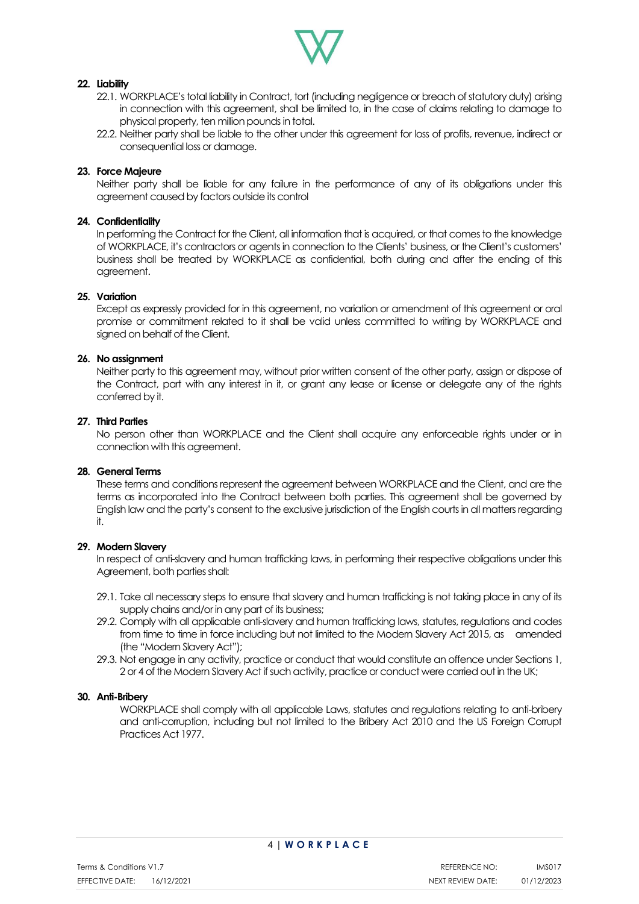

# **22. Liability**

- 22.1. WORKPLACE's total liability in Contract, tort (including negligence or breach of statutory duty) arising in connection with this agreement, shall be limited to, in the case of claims relating to damage to physical property, ten million pounds in total.
- 22.2. Neither party shall be liable to the other under this agreement for loss of profits, revenue, indirect or consequential loss or damage.

# **23. Force Majeure**

Neither party shall be liable for any failure in the performance of any of its obligations under this agreement caused by factors outside its control

### **24. Confidentiality**

In performing the Contract for the Client, all information that is acquired, or that comes to the knowledge of WORKPLACE, it's contractors or agents in connection to the Clients' business, or the Client's customers' business shall be treated by WORKPLACE as confidential, both during and after the ending of this agreement.

#### **25. Variation**

Except as expressly provided for in this agreement, no variation or amendment of this agreement or oral promise or commitment related to it shall be valid unless committed to writing by WORKPLACE and signed on behalf of the Client.

# **26. No assignment**

Neither party to this agreement may, without prior written consent of the other party, assign or dispose of the Contract, part with any interest in it, or grant any lease or license or delegate any of the rights conferred by it.

# **27. Third Parties**

No person other than WORKPLACE and the Client shall acquire any enforceable rights under or in connection with this agreement.

#### **28. General Terms**

These terms and conditions represent the agreement between WORKPLACE and the Client, and are the terms as incorporated into the Contract between both parties. This agreement shall be governed by English law and the party's consent to the exclusive jurisdiction of the English courts in all matters regarding it.

# **29. Modern Slavery**

In respect of anti-slavery and human trafficking laws, in performing their respective obligations under this Agreement, both parties shall:

- 29.1. Take all necessary steps to ensure that slavery and human trafficking is not taking place in any of its supply chains and/or in any part of its business;
- 29.2. Comply with all applicable anti-slavery and human trafficking laws, statutes, regulations and codes from time to time in force including but not limited to the Modern Slavery Act 2015, as amended (the "Modern Slavery Act");
- 29.3. Not engage in any activity, practice or conduct that would constitute an offence under Sections 1, 2 or 4 of the Modern Slavery Act if such activity, practice or conduct were carried out in the UK;

#### **30. Anti-Bribery**

WORKPLACE shall comply with all applicable Laws, statutes and regulations relating to anti-bribery and anti-corruption, including but not limited to the Bribery Act 2010 and the US Foreign Corrupt Practices Act 1977.